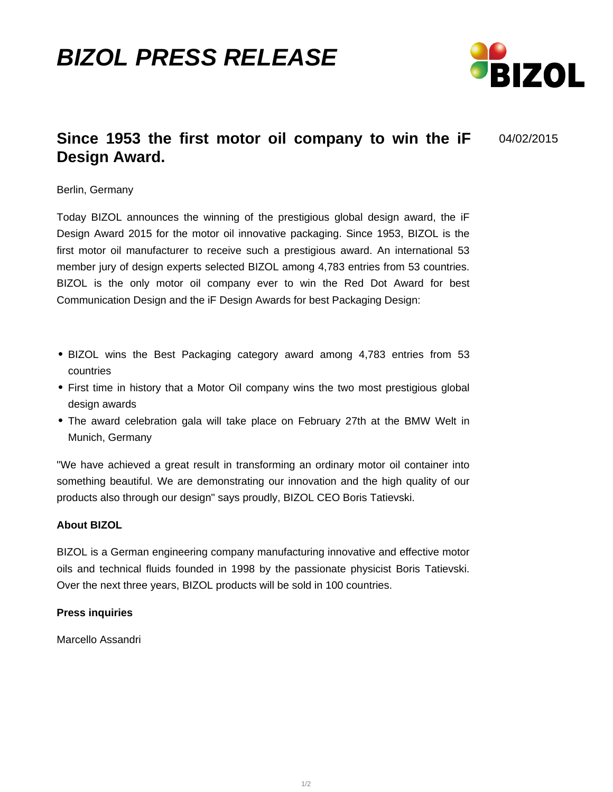## **BIZOL PRESS RELEASE**



04/02/2015

## **Since 1953 the first motor oil company to win the iF Design Award.**

Berlin, Germany

Today BIZOL announces the winning of the prestigious global design award, the iF Design Award 2015 for the motor oil innovative packaging. Since 1953, BIZOL is the first motor oil manufacturer to receive such a prestigious award. An international 53 member jury of design experts selected BIZOL among 4,783 entries from 53 countries. BIZOL is the only motor oil company ever to win the Red Dot Award for best Communication Design and the iF Design Awards for best Packaging Design:

- BIZOL wins the Best Packaging category award among 4,783 entries from 53 countries
- First time in history that a Motor Oil company wins the two most prestigious global design awards
- The award celebration gala will take place on February 27th at the BMW Welt in Munich, Germany

"We have achieved a great result in transforming an ordinary motor oil container into something beautiful. We are demonstrating our innovation and the high quality of our products also through our design" says proudly, BIZOL CEO Boris Tatievski.

## **About BIZOL**

BIZOL is a German engineering company manufacturing innovative and effective motor oils and technical fluids founded in 1998 by the passionate physicist Boris Tatievski. Over the next three years, BIZOL products will be sold in 100 countries.

## **Press inquiries**

Marcello Assandri